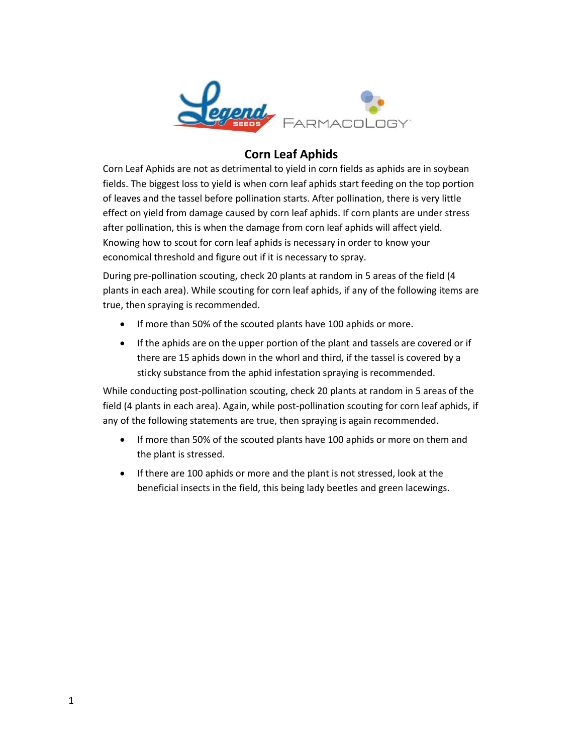

## **Corn Leaf Aphids**

Corn Leaf Aphids are not as detrimental to yield in corn fields as aphids are in soybean fields. The biggest loss to yield is when corn leaf aphids start feeding on the top portion of leaves and the tassel before pollination starts. After pollination, there is very little effect on yield from damage caused by corn leaf aphids. If corn plants are under stress after pollination, this is when the damage from corn leaf aphids will affect yield. Knowing how to scout for corn leaf aphids is necessary in order to know your economical threshold and figure out if it is necessary to spray.

During pre-pollination scouting, check 20 plants at random in 5 areas of the field (4 plants in each area). While scouting for corn leaf aphids, if any of the following items are true, then spraying is recommended.

- If more than 50% of the scouted plants have 100 aphids or more.
- If the aphids are on the upper portion of the plant and tassels are covered or if there are 15 aphids down in the whorl and third, if the tassel is covered by a sticky substance from the aphid infestation spraying is recommended.

While conducting post-pollination scouting, check 20 plants at random in 5 areas of the field (4 plants in each area). Again, while post-pollination scouting for corn leaf aphids, if any of the following statements are true, then spraying is again recommended.

- If more than 50% of the scouted plants have 100 aphids or more on them and the plant is stressed.
- If there are 100 aphids or more and the plant is not stressed, look at the beneficial insects in the field, this being lady beetles and green lacewings.